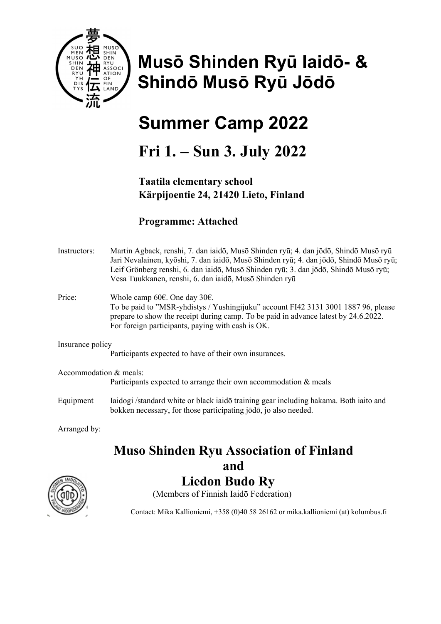

# Musō Shinden Ryū Iaidō- & Shindō Musō Ryū Jōdō

## Summer Camp 2022

## Fri 1. – Sun 3. July 2022

#### Taatila elementary school Kärpijoentie 24, 21420 Lieto, Finland

#### Programme: Attached

| Instructors:           | Martin Agback, renshi, 7. dan iaidō, Musō Shinden ryū; 4. dan jōdō, Shindō Musō ryū<br>Jari Nevalainen, kyōshi, 7. dan iaidō, Musō Shinden ryū; 4. dan jōdō, Shindō Musō ryū;<br>Leif Grönberg renshi, 6. dan iaidō, Musō Shinden ryū; 3. dan jōdō, Shindō Musō ryū;<br>Vesa Tuukkanen, renshi, 6. dan iaidō, Musō Shinden ryū |
|------------------------|--------------------------------------------------------------------------------------------------------------------------------------------------------------------------------------------------------------------------------------------------------------------------------------------------------------------------------|
| Price:                 | Whole camp 60 $\epsilon$ . One day 30 $\epsilon$ .<br>To be paid to "MSR-yhdistys / Yushingijuku" account FI42 3131 3001 1887 96, please<br>prepare to show the receipt during camp. To be paid in advance latest by 24.6.2022.<br>For foreign participants, paying with cash is OK.                                           |
| Insurance policy       |                                                                                                                                                                                                                                                                                                                                |
|                        | Participants expected to have of their own insurances.                                                                                                                                                                                                                                                                         |
| Accommodation & meals: | Participants expected to arrange their own accommodation & meals                                                                                                                                                                                                                                                               |
| Equipment              | Iaidogi /standard white or black iaidō training gear including hakama. Both iaito and<br>bokken necessary, for those participating jodo, jo also needed.                                                                                                                                                                       |

Arranged by:

### Muso Shinden Ryu Association of Finland

#### and

### Liedon Budo Ry

(Members of Finnish Iaidō Federation)

Contact: Mika Kallioniemi, +358 (0)40 58 26162 or mika.kallioniemi (at) kolumbus.fi

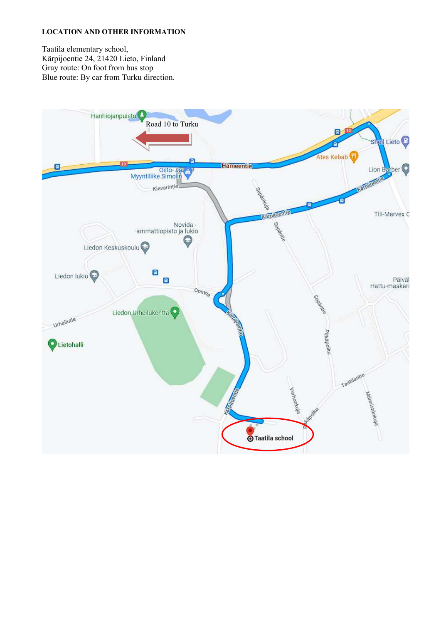#### LOCATION AND OTHER INFORMATION

Taatila elementary school, Kärpijoentie 24, 21420 Lieto, Finland Gray route: On foot from bus stop Blue route: By car from Turku direction.